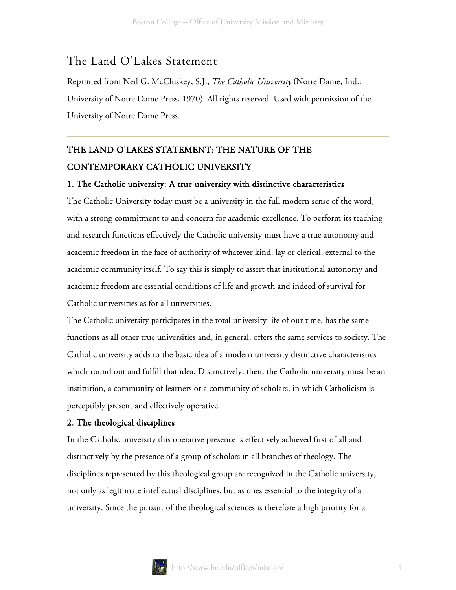# The Land O'Lakes Statement

Reprinted from Neil G. McCluskey, S.J., *The Catholic University* (Notre Dame, Ind.: University of Notre Dame Press, 1970). All rights reserved. Used with permission of the University of Notre Dame Press.

# THE LAND O'LAKES STATEMENT: THE NATURE OF THE CONTEMPORARY CATHOLIC UNIVERSITY

### 1. The Catholic university: A true university with distinctive characteristics

The Catholic University today must be a university in the full modern sense of the word, with a strong commitment to and concern for academic excellence. To perform its teaching and research functions effectively the Catholic university must have a true autonomy and academic freedom in the face of authority of whatever kind, lay or clerical, external to the academic community itself. To say this is simply to assert that institutional autonomy and academic freedom are essential conditions of life and growth and indeed of survival for Catholic universities as for all universities.

The Catholic university participates in the total university life of our time, has the same functions as all other true universities and, in general, offers the same services to society. The Catholic university adds to the basic idea of a modern university distinctive characteristics which round out and fulfill that idea. Distinctively, then, the Catholic university must be an institution, a community of learners or a community of scholars, in which Catholicism is perceptibly present and effectively operative.

## 2. The theological disciplines

In the Catholic university this operative presence is effectively achieved first of all and distinctively by the presence of a group of scholars in all branches of theology. The disciplines represented by this theological group are recognized in the Catholic university, not only as legitimate intellectual disciplines, but as ones essential to the integrity of a university. Since the pursuit of the theological sciences is therefore a high priority for a

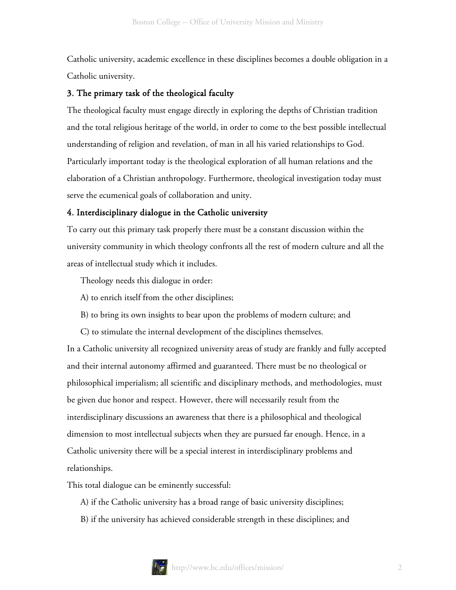Catholic university, academic excellence in these disciplines becomes a double obligation in a Catholic university.

#### 3. The primary task of the theological faculty

The theological faculty must engage directly in exploring the depths of Christian tradition and the total religious heritage of the world, in order to come to the best possible intellectual understanding of religion and revelation, of man in all his varied relationships to God. Particularly important today is the theological exploration of all human relations and the elaboration of a Christian anthropology. Furthermore, theological investigation today must serve the ecumenical goals of collaboration and unity.

#### 4. Interdisciplinary dialogue in the Catholic university

To carry out this primary task properly there must be a constant discussion within the university community in which theology confronts all the rest of modern culture and all the areas of intellectual study which it includes.

Theology needs this dialogue in order:

A) to enrich itself from the other disciplines;

- B) to bring its own insights to bear upon the problems of modern culture; and
- C) to stimulate the internal development of the disciplines themselves.

In a Catholic university all recognized university areas of study are frankly and fully accepted and their internal autonomy affirmed and guaranteed. There must be no theological or philosophical imperialism; all scientific and disciplinary methods, and methodologies, must be given due honor and respect. However, there will necessarily result from the interdisciplinary discussions an awareness that there is a philosophical and theological dimension to most intellectual subjects when they are pursued far enough. Hence, in a Catholic university there will be a special interest in interdisciplinary problems and relationships.

This total dialogue can be eminently successful:

- A) if the Catholic university has a broad range of basic university disciplines;
- B) if the university has achieved considerable strength in these disciplines; and

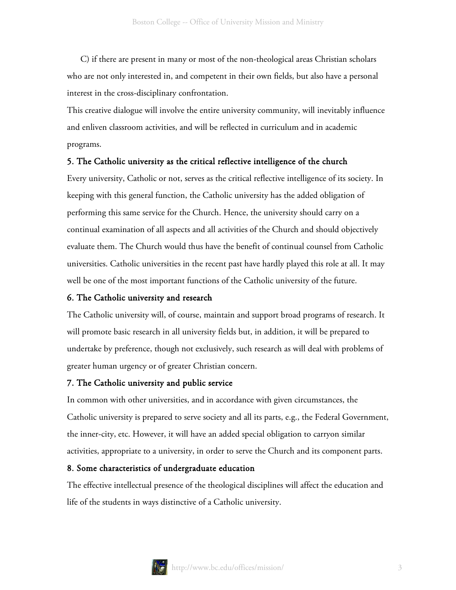C) if there are present in many or most of the non-theological areas Christian scholars who are not only interested in, and competent in their own fields, but also have a personal interest in the cross-disciplinary confrontation.

This creative dialogue will involve the entire university community, will inevitably influence and enliven classroom activities, and will be reflected in curriculum and in academic programs.

### 5. The Catholic university as the critical reflective intelligence of the church

Every university, Catholic or not, serves as the critical reflective intelligence of its society. In keeping with this general function, the Catholic university has the added obligation of performing this same service for the Church. Hence, the university should carry on a continual examination of all aspects and all activities of the Church and should objectively evaluate them. The Church would thus have the benefit of continual counsel from Catholic universities. Catholic universities in the recent past have hardly played this role at all. It may well be one of the most important functions of the Catholic university of the future.

#### 6. The Catholic university and research

The Catholic university will, of course, maintain and support broad programs of research. It will promote basic research in all university fields but, in addition, it will be prepared to undertake by preference, though not exclusively, such research as will deal with problems of greater human urgency or of greater Christian concern.

### 7. The Catholic university and public service

In common with other universities, and in accordance with given circumstances, the Catholic university is prepared to serve society and all its parts, e.g., the Federal Government, the inner-city, etc. However, it will have an added special obligation to carryon similar activities, appropriate to a university, in order to serve the Church and its component parts.

### 8. Some characteristics of undergraduate education

The effective intellectual presence of the theological disciplines will affect the education and life of the students in ways distinctive of a Catholic university.

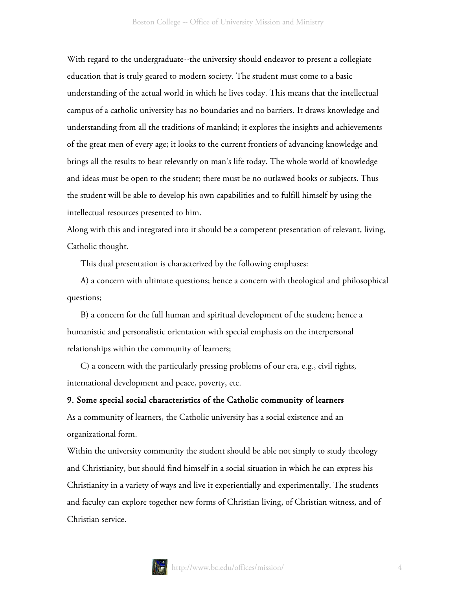With regard to the undergraduate--the university should endeavor to present a collegiate education that is truly geared to modern society. The student must come to a basic understanding of the actual world in which he lives today. This means that the intellectual campus of a catholic university has no boundaries and no barriers. It draws knowledge and understanding from all the traditions of mankind; it explores the insights and achievements of the great men of every age; it looks to the current frontiers of advancing knowledge and brings all the results to bear relevantly on man's life today. The whole world of knowledge and ideas must be open to the student; there must be no outlawed books or subjects. Thus the student will be able to develop his own capabilities and to fulfill himself by using the intellectual resources presented to him.

Along with this and integrated into it should be a competent presentation of relevant, living, Catholic thought.

This dual presentation is characterized by the following emphases:

 A) a concern with ultimate questions; hence a concern with theological and philosophical questions;

 B) a concern for the full human and spiritual development of the student; hence a humanistic and personalistic orientation with special emphasis on the interpersonal relationships within the community of learners;

 C) a concern with the particularly pressing problems of our era, e.g., civil rights, international development and peace, poverty, etc.

#### 9. Some special social characteristics of the Catholic community of learners

As a community of learners, the Catholic university has a social existence and an organizational form.

Within the university community the student should be able not simply to study theology and Christianity, but should find himself in a social situation in which he can express his Christianity in a variety of ways and live it experientially and experimentally. The students and faculty can explore together new forms of Christian living, of Christian witness, and of Christian service.

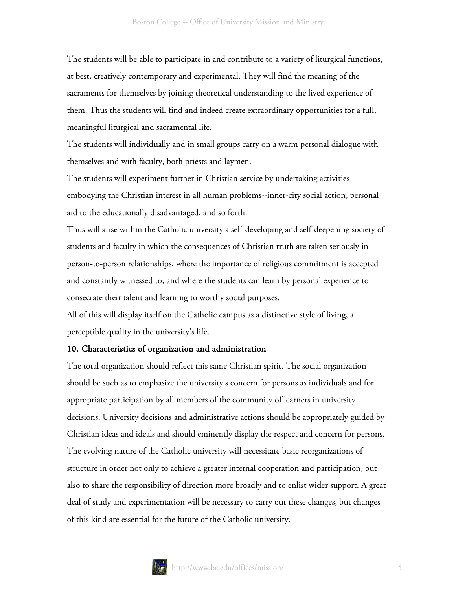The students will be able to participate in and contribute to a variety of liturgical functions, at best, creatively contemporary and experimental. They will find the meaning of the sacraments for themselves by joining theoretical understanding to the lived experience of them. Thus the students will find and indeed create extraordinary opportunities for a full, meaningful liturgical and sacramental life.

The students will individually and in small groups carry on a warm personal dialogue with themselves and with faculty, both priests and laymen.

The students will experiment further in Christian service by undertaking activities embodying the Christian interest in all human problems--inner-city social action, personal aid to the educationally disadvantaged, and so forth.

Thus will arise within the Catholic university a self-developing and self-deepening society of students and faculty in which the consequences of Christian truth are taken seriously in person-to-person relationships, where the importance of religious commitment is accepted and constantly witnessed to, and where the students can learn by personal experience to consecrate their talent and learning to worthy social purposes.

All of this will display itself on the Catholic campus as a distinctive style of living, a perceptible quality in the university's life.

#### 10. Characteristics of organization and administration

The total organization should reflect this same Christian spirit. The social organization should be such as to emphasize the university's concern for persons as individuals and for appropriate participation by all members of the community of learners in university decisions. University decisions and administrative actions should be appropriately guided by Christian ideas and ideals and should eminently display the respect and concern for persons. The evolving nature of the Catholic university will necessitate basic reorganizations of structure in order not only to achieve a greater internal cooperation and participation, but also to share the responsibility of direction more broadly and to enlist wider support. A great deal of study and experimentation will be necessary to carry out these changes, but changes of this kind are essential for the future of the Catholic university.